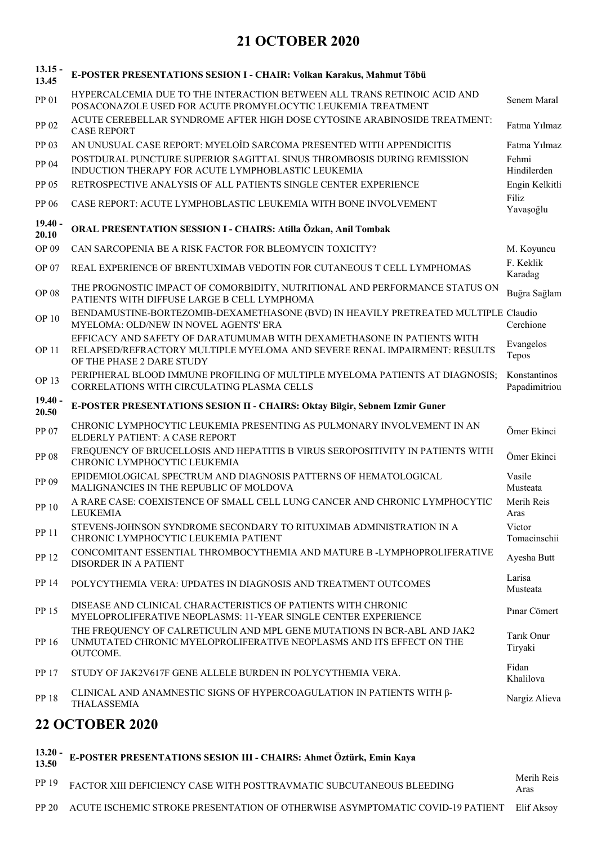## **21 OCTOBER 2020**

| $13.15 -$<br>13.45 | E-POSTER PRESENTATIONS SESION I - CHAIR: Volkan Karakus, Mahmut Töbü                                                                                                             |                               |
|--------------------|----------------------------------------------------------------------------------------------------------------------------------------------------------------------------------|-------------------------------|
| PP 01              | HYPERCALCEMIA DUE TO THE INTERACTION BETWEEN ALL TRANS RETINOIC ACID AND<br>POSACONAZOLE USED FOR ACUTE PROMYELOCYTIC LEUKEMIA TREATMENT                                         | Senem Maral                   |
| PP 02              | ACUTE CEREBELLAR SYNDROME AFTER HIGH DOSE CYTOSINE ARABINOSIDE TREATMENT:<br><b>CASE REPORT</b>                                                                                  | Fatma Yılmaz                  |
| PP 03              | AN UNUSUAL CASE REPORT: MYELOID SARCOMA PRESENTED WITH APPENDICITIS                                                                                                              | Fatma Yılmaz                  |
| PP 04              | POSTDURAL PUNCTURE SUPERIOR SAGITTAL SINUS THROMBOSIS DURING REMISSION<br>INDUCTION THERAPY FOR ACUTE LYMPHOBLASTIC LEUKEMIA                                                     | Fehmi<br>Hindilerden          |
| PP 05              | RETROSPECTIVE ANALYSIS OF ALL PATIENTS SINGLE CENTER EXPERIENCE                                                                                                                  | Engin Kelkitli                |
| PP 06              | CASE REPORT: ACUTE LYMPHOBLASTIC LEUKEMIA WITH BONE INVOLVEMENT                                                                                                                  | Filiz<br>Yavaşoğlu            |
| $19.40 -$<br>20.10 | ORAL PRESENTATION SESSION I - CHAIRS: Atilla Özkan, Anil Tombak                                                                                                                  |                               |
| OP 09              | CAN SARCOPENIA BE A RISK FACTOR FOR BLEOMYCIN TOXICITY?                                                                                                                          | M. Koyuncu                    |
| OP 07              | REAL EXPERIENCE OF BRENTUXIMAB VEDOTIN FOR CUTANEOUS T CELL LYMPHOMAS                                                                                                            | F. Keklik<br>Karadag          |
| <b>OP 08</b>       | THE PROGNOSTIC IMPACT OF COMORBIDITY, NUTRITIONAL AND PERFORMANCE STATUS ON<br>PATIENTS WITH DIFFUSE LARGE B CELL LYMPHOMA                                                       | Buğra Sağlam                  |
| <b>OP 10</b>       | BENDAMUSTINE-BORTEZOMIB-DEXAMETHASONE (BVD) IN HEAVILY PRETREATED MULTIPLE Claudio<br>MYELOMA: OLD/NEW IN NOVEL AGENTS' ERA                                                      | Cerchione                     |
| <b>OP 11</b>       | EFFICACY AND SAFETY OF DARATUMUMAB WITH DEXAMETHASONE IN PATIENTS WITH<br>RELAPSED/REFRACTORY MULTIPLE MYELOMA AND SEVERE RENAL IMPAIRMENT: RESULTS<br>OF THE PHASE 2 DARE STUDY | Evangelos<br>Tepos            |
| OP 13              | PERIPHERAL BLOOD IMMUNE PROFILING OF MULTIPLE MYELOMA PATIENTS AT DIAGNOSIS;<br>CORRELATIONS WITH CIRCULATING PLASMA CELLS                                                       | Konstantinos<br>Papadimitriou |
|                    |                                                                                                                                                                                  |                               |
| $19.40 -$<br>20.50 | E-POSTER PRESENTATIONS SESION II - CHAIRS: Oktay Bilgir, Sebnem Izmir Guner                                                                                                      |                               |
| PP 07              | CHRONIC LYMPHOCYTIC LEUKEMIA PRESENTING AS PULMONARY INVOLVEMENT IN AN<br>ELDERLY PATIENT: A CASE REPORT                                                                         | Ömer Ekinci                   |
| PP 08              | FREQUENCY OF BRUCELLOSIS AND HEPATITIS B VIRUS SEROPOSITIVITY IN PATIENTS WITH<br>CHRONIC LYMPHOCYTIC LEUKEMIA                                                                   | Ömer Ekinci                   |
| PP 09              | EPIDEMIOLOGICAL SPECTRUM AND DIAGNOSIS PATTERNS OF HEMATOLOGICAL<br>MALIGNANCIES IN THE REPUBLIC OF MOLDOVA                                                                      | Vasile<br>Musteata            |
| PP 10              | A RARE CASE: COEXISTENCE OF SMALL CELL LUNG CANCER AND CHRONIC LYMPHOCYTIC<br>LEUKEMIA                                                                                           | Merih Reis<br>Aras            |
| PP 11              | STEVENS-JOHNSON SYNDROME SECONDARY TO RITUXIMAB ADMINISTRATION IN A<br>CHRONIC LYMPHOCYTIC LEUKEMIA PATIENT                                                                      | Victor<br>Tomacinschii        |
| PP 12              | CONCOMITANT ESSENTIAL THROMBOCYTHEMIA AND MATURE B -LYMPHOPROLIFERATIVE<br>DISORDER IN A PATIENT                                                                                 | Ayesha Butt                   |
| PP 14              | POLYCYTHEMIA VERA: UPDATES IN DIAGNOSIS AND TREATMENT OUTCOMES                                                                                                                   | Larisa<br>Musteata            |
| PP 15              | DISEASE AND CLINICAL CHARACTERISTICS OF PATIENTS WITH CHRONIC<br>MYELOPROLIFERATIVE NEOPLASMS: 11-YEAR SINGLE CENTER EXPERIENCE                                                  | Pınar Cömert                  |
| PP 16              | THE FREQUENCY OF CALRETICULIN AND MPL GENE MUTATIONS IN BCR-ABL AND JAK2<br>UNMUTATED CHRONIC MYELOPROLIFERATIVE NEOPLASMS AND ITS EFFECT ON THE<br>OUTCOME.                     | Tarik Onur<br>Tiryaki         |
| PP 17              | STUDY OF JAK2V617F GENE ALLELE BURDEN IN POLYCYTHEMIA VERA.                                                                                                                      | Fidan<br>Khalilova            |
| PP 18              | CLINICAL AND ANAMNESTIC SIGNS OF HYPERCOAGULATION IN PATIENTS WITH $\beta$ -<br>THALASSEMIA                                                                                      | Nargiz Alieva                 |

## **13.20 - E-POSTER PRESENTATIONS SESION III - CHAIRS: Ahmet Öztürk, Emin Kaya 13.50** PP 19 FACTOR XIII DEFICIENCY CASE WITH POSTTRAVMATIC SUBCUTANEOUS BLEEDING

Aras PP 20 ACUTE ISCHEMIC STROKE PRESENTATION OF OTHERWISE ASYMPTOMATIC COVID-19 PATIENT Elif Aksoy

Merih Reis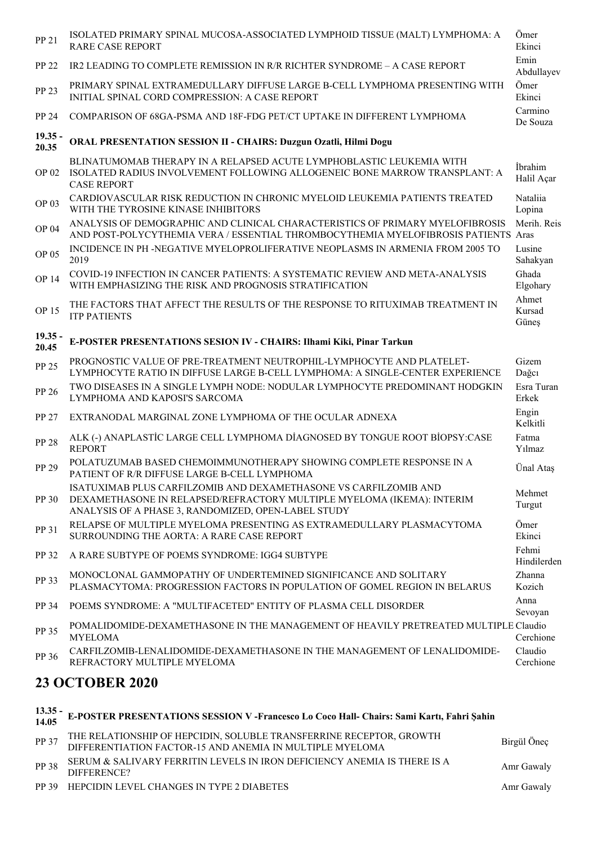| PP 21                  | ISOLATED PRIMARY SPINAL MUCOSA-ASSOCIATED LYMPHOID TISSUE (MALT) LYMPHOMA: A<br><b>RARE CASE REPORT</b>                                                                                           | Ömer<br>Ekinci           |  |  |
|------------------------|---------------------------------------------------------------------------------------------------------------------------------------------------------------------------------------------------|--------------------------|--|--|
| PP 22                  | IR2 LEADING TO COMPLETE REMISSION IN R/R RICHTER SYNDROME - A CASE REPORT                                                                                                                         | Emin<br>Abdullayev       |  |  |
| PP 23                  | PRIMARY SPINAL EXTRAMEDULLARY DIFFUSE LARGE B-CELL LYMPHOMA PRESENTING WITH<br>INITIAL SPINAL CORD COMPRESSION: A CASE REPORT                                                                     | Ömer<br>Ekinci           |  |  |
| PP 24                  | COMPARISON OF 68GA-PSMA AND 18F-FDG PET/CT UPTAKE IN DIFFERENT LYMPHOMA                                                                                                                           | Carmino<br>De Souza      |  |  |
| $19.35 -$<br>20.35     | ORAL PRESENTATION SESSION II - CHAIRS: Duzgun Ozatli, Hilmi Dogu                                                                                                                                  |                          |  |  |
| OP 02                  | BLINATUMOMAB THERAPY IN A RELAPSED ACUTE LYMPHOBLASTIC LEUKEMIA WITH<br>ISOLATED RADIUS INVOLVEMENT FOLLOWING ALLOGENEIC BONE MARROW TRANSPLANT: A<br><b>CASE REPORT</b>                          | İbrahim<br>Halil Açar    |  |  |
| OP 03                  | CARDIOVASCULAR RISK REDUCTION IN CHRONIC MYELOID LEUKEMIA PATIENTS TREATED<br>WITH THE TYROSINE KINASE INHIBITORS                                                                                 | Nataliia<br>Lopina       |  |  |
| OP 04                  | ANALYSIS OF DEMOGRAPHIC AND CLINICAL CHARACTERISTICS OF PRIMARY MYELOFIBROSIS<br>AND POST-POLYCYTHEMIA VERA / ESSENTIAL THROMBOCYTHEMIA MYELOFIBROSIS PATIENTS Aras                               | Merih. Reis              |  |  |
| OP 05                  | INCIDENCE IN PH -NEGATIVE MYELOPROLIFERATIVE NEOPLASMS IN ARMENIA FROM 2005 TO<br>2019                                                                                                            | Lusine<br>Sahakyan       |  |  |
| <b>OP 14</b>           | COVID-19 INFECTION IN CANCER PATIENTS: A SYSTEMATIC REVIEW AND META-ANALYSIS<br>WITH EMPHASIZING THE RISK AND PROGNOSIS STRATIFICATION                                                            | Ghada<br>Elgohary        |  |  |
| OP 15                  | THE FACTORS THAT AFFECT THE RESULTS OF THE RESPONSE TO RITUXIMAB TREATMENT IN<br><b>ITP PATIENTS</b>                                                                                              | Ahmet<br>Kursad<br>Güneş |  |  |
| $19.35 -$<br>20.45     | E-POSTER PRESENTATIONS SESION IV - CHAIRS: Ilhami Kiki, Pinar Tarkun                                                                                                                              |                          |  |  |
| PP 25                  | PROGNOSTIC VALUE OF PRE-TREATMENT NEUTROPHIL-LYMPHOCYTE AND PLATELET-<br>LYMPHOCYTE RATIO IN DIFFUSE LARGE B-CELL LYMPHOMA: A SINGLE-CENTER EXPERIENCE                                            | Gizem<br>Dağcı           |  |  |
| PP 26                  | TWO DISEASES IN A SINGLE LYMPH NODE: NODULAR LYMPHOCYTE PREDOMINANT HODGKIN<br>LYMPHOMA AND KAPOSI'S SARCOMA                                                                                      | Esra Turan<br>Erkek      |  |  |
| PP 27                  | EXTRANODAL MARGINAL ZONE LYMPHOMA OF THE OCULAR ADNEXA                                                                                                                                            | Engin<br>Kelkitli        |  |  |
| <b>PP 28</b>           | ALK (-) ANAPLASTIC LARGE CELL LYMPHOMA DIAGNOSED BY TONGUE ROOT BIOPSY:CASE<br><b>REPORT</b>                                                                                                      | Fatma<br>Yılmaz          |  |  |
| PP 29                  | POLATUZUMAB BASED CHEMOIMMUNOTHERAPY SHOWING COMPLETE RESPONSE IN A<br>PATIENT OF R/R DIFFUSE LARGE B-CELL LYMPHOMA                                                                               | Ünal Ataş                |  |  |
| PP 30                  | ISATUXIMAB PLUS CARFILZOMIB AND DEXAMETHASONE VS CARFILZOMIB AND<br>DEXAMETHASONE IN RELAPSED/REFRACTORY MULTIPLE MYELOMA (IKEMA): INTERIM<br>ANALYSIS OF A PHASE 3, RANDOMIZED, OPEN-LABEL STUDY | Mehmet<br>Turgut         |  |  |
| PP 31                  | RELAPSE OF MULTIPLE MYELOMA PRESENTING AS EXTRAMEDULLARY PLASMACYTOMA<br>SURROUNDING THE AORTA: A RARE CASE REPORT                                                                                | Ömer<br>Ekinci           |  |  |
| PP 32                  | A RARE SUBTYPE OF POEMS SYNDROME: IGG4 SUBTYPE                                                                                                                                                    | Fehmi<br>Hindilerden     |  |  |
| PP 33                  | MONOCLONAL GAMMOPATHY OF UNDERTEMINED SIGNIFICANCE AND SOLITARY<br>PLASMACYTOMA: PROGRESSION FACTORS IN POPULATION OF GOMEL REGION IN BELARUS                                                     | Zhanna<br>Kozich         |  |  |
| PP 34                  | POEMS SYNDROME: A "MULTIFACETED" ENTITY OF PLASMA CELL DISORDER                                                                                                                                   | Anna<br>Sevoyan          |  |  |
| PP 35                  | POMALIDOMIDE-DEXAMETHASONE IN THE MANAGEMENT OF HEAVILY PRETREATED MULTIPLE Claudio<br><b>MYELOMA</b>                                                                                             | Cerchione                |  |  |
| PP 36                  | CARFILZOMIB-LENALIDOMIDE-DEXAMETHASONE IN THE MANAGEMENT OF LENALIDOMIDE-<br>REFRACTORY MULTIPLE MYELOMA                                                                                          | Claudio<br>Cerchione     |  |  |
| <b>23 OCTOBER 2020</b> |                                                                                                                                                                                                   |                          |  |  |

|       | 13.35 - E-POSTER PRESENTATIONS SESSION V - Francesco Lo Coco Hall- Chairs: Sami Kartı, Fahri Şahin<br>14.05                  |             |
|-------|------------------------------------------------------------------------------------------------------------------------------|-------------|
| PP 37 | THE RELATIONSHIP OF HEPCIDIN, SOLUBLE TRANSFERRINE RECEPTOR, GROWTH DIFFERENTIATION FACTOR-15 AND ANEMIA IN MULTIPLE MYELOMA | Birgül Öneç |
| PP 38 | SERUM & SALIVARY FERRITIN LEVELS IN IRON DEFICIENCY ANEMIA IS THERE IS A<br>DIFFERENCE?                                      | Amr Gawaly  |
|       | PP 39 HEPCIDIN LEVEL CHANGES IN TYPE 2 DIABETES                                                                              | Amr Gawaly  |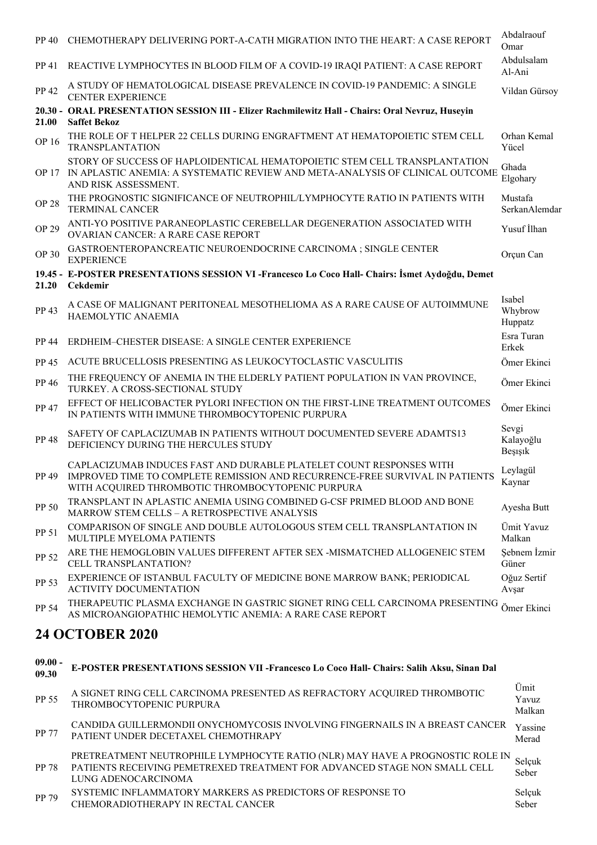| PP 40                  | CHEMOTHERAPY DELIVERING PORT-A-CATH MIGRATION INTO THE HEART: A CASE REPORT                                                                                                                              | Abdalraouf<br>Omar            |  |  |
|------------------------|----------------------------------------------------------------------------------------------------------------------------------------------------------------------------------------------------------|-------------------------------|--|--|
| PP 41                  | REACTIVE LYMPHOCYTES IN BLOOD FILM OF A COVID-19 IRAQI PATIENT: A CASE REPORT                                                                                                                            | Abdulsalam<br>Al-Ani          |  |  |
| PP 42                  | A STUDY OF HEMATOLOGICAL DISEASE PREVALENCE IN COVID-19 PANDEMIC: A SINGLE<br><b>CENTER EXPERIENCE</b>                                                                                                   | Vildan Gürsoy                 |  |  |
| 21.00                  | 20.30 - ORAL PRESENTATION SESSION III - Elizer Rachmilewitz Hall - Chairs: Oral Nevruz, Huseyin<br><b>Saffet Bekoz</b>                                                                                   |                               |  |  |
| OP 16                  | THE ROLE OF T HELPER 22 CELLS DURING ENGRAFTMENT AT HEMATOPOIETIC STEM CELL<br><b>TRANSPLANTATION</b>                                                                                                    | Orhan Kemal<br>Yücel          |  |  |
| <b>OP 17</b>           | STORY OF SUCCESS OF HAPLOIDENTICAL HEMATOPOIETIC STEM CELL TRANSPLANTATION<br>IN APLASTIC ANEMIA: A SYSTEMATIC REVIEW AND META-ANALYSIS OF CLINICAL OUTCOME<br>AND RISK ASSESSMENT.                      | Ghada<br>Elgohary             |  |  |
| <b>OP 28</b>           | THE PROGNOSTIC SIGNIFICANCE OF NEUTROPHIL/LYMPHOCYTE RATIO IN PATIENTS WITH<br><b>TERMINAL CANCER</b>                                                                                                    | Mustafa<br>SerkanAlemdar      |  |  |
| <b>OP 29</b>           | ANTI-YO POSITIVE PARANEOPLASTIC CEREBELLAR DEGENERATION ASSOCIATED WITH<br>OVARIAN CANCER: A RARE CASE REPORT                                                                                            | Yusuf İlhan                   |  |  |
| OP 30                  | GASTROENTEROPANCREATIC NEUROENDOCRINE CARCINOMA ; SINGLE CENTER<br><b>EXPERIENCE</b>                                                                                                                     | Orçun Can                     |  |  |
| 21.20                  | 19.45 - E-POSTER PRESENTATIONS SESSION VI -Francesco Lo Coco Hall- Chairs: İsmet Aydoğdu, Demet<br><b>Cekdemir</b>                                                                                       |                               |  |  |
| PP 43                  | A CASE OF MALIGNANT PERITONEAL MESOTHELIOMA AS A RARE CAUSE OF AUTOIMMUNE<br>HAEMOLYTIC ANAEMIA                                                                                                          | Isabel<br>Whybrow<br>Huppatz  |  |  |
| PP 44                  | ERDHEIM-CHESTER DISEASE: A SINGLE CENTER EXPERIENCE                                                                                                                                                      | Esra Turan<br>Erkek           |  |  |
| PP 45                  | ACUTE BRUCELLOSIS PRESENTING AS LEUKOCYTOCLASTIC VASCULITIS                                                                                                                                              | Ömer Ekinci                   |  |  |
| PP 46                  | THE FREQUENCY OF ANEMIA IN THE ELDERLY PATIENT POPULATION IN VAN PROVINCE,<br>TURKEY. A CROSS-SECTIONAL STUDY                                                                                            | Ömer Ekinci                   |  |  |
| PP 47                  | EFFECT OF HELICOBACTER PYLORI INFECTION ON THE FIRST-LINE TREATMENT OUTCOMES<br>IN PATIENTS WITH IMMUNE THROMBOCYTOPENIC PURPURA                                                                         | Ömer Ekinci                   |  |  |
| <b>PP 48</b>           | SAFETY OF CAPLACIZUMAB IN PATIENTS WITHOUT DOCUMENTED SEVERE ADAMTS13<br>DEFICIENCY DURING THE HERCULES STUDY                                                                                            | Sevgi<br>Kalayoğlu<br>Beşişik |  |  |
| PP 49                  | CAPLACIZUMAB INDUCES FAST AND DURABLE PLATELET COUNT RESPONSES WITH<br>IMPROVED TIME TO COMPLETE REMISSION AND RECURRENCE-FREE SURVIVAL IN PATIENTS<br>WITH ACQUIRED THROMBOTIC THROMBOCYTOPENIC PURPURA | Leylagül<br>Kaynar            |  |  |
| PP 50                  | TRANSPLANT IN APLASTIC ANEMIA USING COMBINED G-CSF PRIMED BLOOD AND BONE<br>MARROW STEM CELLS - A RETROSPECTIVE ANALYSIS                                                                                 | Ayesha Butt                   |  |  |
| PP 51                  | COMPARISON OF SINGLE AND DOUBLE AUTOLOGOUS STEM CELL TRANSPLANTATION IN<br>MULTIPLE MYELOMA PATIENTS                                                                                                     | Ümit Yavuz<br>Malkan          |  |  |
| PP 52                  | ARE THE HEMOGLOBIN VALUES DIFFERENT AFTER SEX -MISMATCHED ALLOGENEIC STEM<br>CELL TRANSPLANTATION?                                                                                                       | Sebnem İzmir<br>Güner         |  |  |
| PP 53                  | EXPERIENCE OF ISTANBUL FACULTY OF MEDICINE BONE MARROW BANK; PERIODICAL<br><b>ACTIVITY DOCUMENTATION</b>                                                                                                 | Oğuz Sertif<br>Avşar          |  |  |
| PP 54                  | THERAPEUTIC PLASMA EXCHANGE IN GASTRIC SIGNET RING CELL CARCINOMA PRESENTING<br>AS MICROANGIOPATHIC HEMOLYTIC ANEMIA: A RARE CASE REPORT                                                                 | Ömer Ekinci                   |  |  |
| <b>24 OCTOBER 2020</b> |                                                                                                                                                                                                          |                               |  |  |

## **09.00 - 09.30 E-POSTER PRESENTATIONS SESSION VII -Francesco Lo Coco Hall- Chairs: Salih Aksu, Sinan Dal** PP 55 A SIGNET RING CELL CARCINOMA PRESENTED AS REFRACTORY ACQUIRED THROMBOTIC THROMBOCYTOPENIC PURPURA Ümit Yavuz Malkan PP 77 CANDIDA GUILLERMONDII ONYCHOMYCOSIS INVOLVING FINGERNAILS IN A BREAST CANCER Yassine PATIENT UNDER DECETAXEL CHEMOTHRAPY Merad PP 78 PRETREATMENT NEUTROPHILE LYMPHOCYTE RATIO (NLR) MAY HAVE A PROGNOSTIC ROLE IN PATIENTS RECEIVING PEMETREXED TREATMENT FOR ADVANCED STAGE NON SMALL CELL LUNG ADENOCARCINOMA Selçuk Seber PP 79 SYSTEMIC INFLAMMATORY MARKERS AS PREDICTORS OF RESPONSE TO CHEMORADIOTHERAPY IN RECTAL CANCER Selçuk Seber